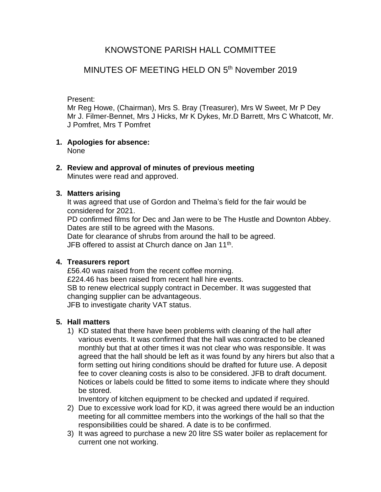# KNOWSTONE PARISH HALL COMMITTEE

# MINUTES OF MEETING HELD ON 5th November 2019

Present:

Mr Reg Howe, (Chairman), Mrs S. Bray (Treasurer), Mrs W Sweet, Mr P Dey Mr J. Filmer-Bennet, Mrs J Hicks, Mr K Dykes, Mr.D Barrett, Mrs C Whatcott, Mr. J Pomfret, Mrs T Pomfret

- **1. Apologies for absence:** None
- **2. Review and approval of minutes of previous meeting** Minutes were read and approved.

## **3. Matters arising**

It was agreed that use of Gordon and Thelma's field for the fair would be considered for 2021.

PD confirmed films for Dec and Jan were to be The Hustle and Downton Abbey. Dates are still to be agreed with the Masons.

Date for clearance of shrubs from around the hall to be agreed. JFB offered to assist at Church dance on Jan 11<sup>th</sup>.

#### **4. Treasurers report**

£56.40 was raised from the recent coffee morning. £224.46 has been raised from recent hall hire events. SB to renew electrical supply contract in December. It was suggested that changing supplier can be advantageous. JFB to investigate charity VAT status.

## **5. Hall matters**

1) KD stated that there have been problems with cleaning of the hall after various events. It was confirmed that the hall was contracted to be cleaned monthly but that at other times it was not clear who was responsible. It was agreed that the hall should be left as it was found by any hirers but also that a form setting out hiring conditions should be drafted for future use. A deposit fee to cover cleaning costs is also to be considered. JFB to draft document. Notices or labels could be fitted to some items to indicate where they should be stored.

Inventory of kitchen equipment to be checked and updated if required.

- 2) Due to excessive work load for KD, it was agreed there would be an induction meeting for all committee members into the workings of the hall so that the responsibilities could be shared. A date is to be confirmed.
- 3) It was agreed to purchase a new 20 litre SS water boiler as replacement for current one not working.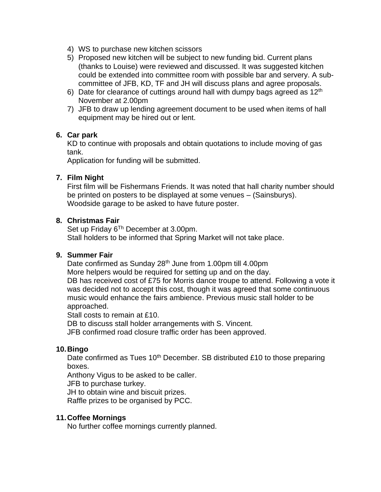- 4) WS to purchase new kitchen scissors
- 5) Proposed new kitchen will be subject to new funding bid. Current plans (thanks to Louise) were reviewed and discussed. It was suggested kitchen could be extended into committee room with possible bar and servery. A subcommittee of JFB, KD, TF and JH will discuss plans and agree proposals.
- 6) Date for clearance of cuttings around hall with dumpy bags agreed as  $12<sup>th</sup>$ November at 2.00pm
- 7) JFB to draw up lending agreement document to be used when items of hall equipment may be hired out or lent.

#### **6. Car park**

KD to continue with proposals and obtain quotations to include moving of gas tank.

Application for funding will be submitted.

## **7. Film Night**

First film will be Fishermans Friends. It was noted that hall charity number should be printed on posters to be displayed at some venues – (Sainsburys). Woodside garage to be asked to have future poster.

#### **8. Christmas Fair**

Set up Friday 6<sup>Th</sup> December at 3.00pm. Stall holders to be informed that Spring Market will not take place.

#### **9. Summer Fair**

Date confirmed as Sunday 28<sup>th</sup> June from 1.00pm till 4.00pm

More helpers would be required for setting up and on the day.

DB has received cost of £75 for Morris dance troupe to attend. Following a vote it was decided not to accept this cost, though it was agreed that some continuous music would enhance the fairs ambience. Previous music stall holder to be approached.

Stall costs to remain at £10.

DB to discuss stall holder arrangements with S. Vincent.

JFB confirmed road closure traffic order has been approved.

#### **10.Bingo**

Date confirmed as Tues  $10<sup>th</sup>$  December. SB distributed £10 to those preparing boxes.

Anthony Vigus to be asked to be caller.

JFB to purchase turkey.

JH to obtain wine and biscuit prizes.

Raffle prizes to be organised by PCC.

#### **11.Coffee Mornings**

No further coffee mornings currently planned.